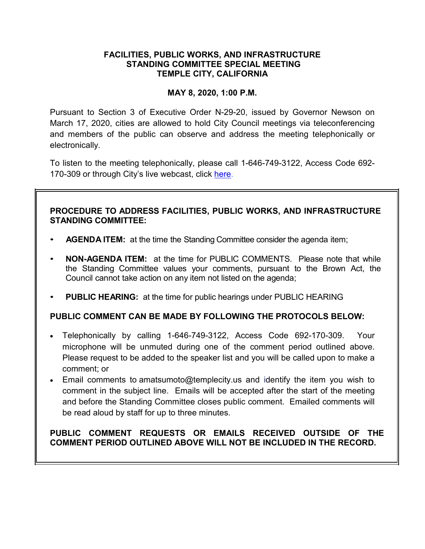# **FACILITIES, PUBLIC WORKS, AND INFRASTRUCTURE STANDING COMMITTEE SPECIAL MEETING TEMPLE CITY, CALIFORNIA**

# **MAY 8, 2020, 1:00 P.M.**

Pursuant to Section 3 of Executive Order N-29-20, issued by Governor Newson on March 17, 2020, cities are allowed to hold City Council meetings via teleconferencing and members of the public can observe and address the meeting telephonically or electronically.

To listen to the meeting telephonically, please call 1-646-749-3122, Access Code 692- 170-309 or through City's live webcast, click [here.](https://www.ci.temple-city.ca.us/516/Meeting-Webcast)

# **PROCEDURE TO ADDRESS FACILITIES, PUBLIC WORKS, AND INFRASTRUCTURE STANDING COMMITTEE:**

- **AGENDA ITEM:** at the time the Standing Committee consider the agenda item;
- **NON-AGENDA ITEM:** at the time for PUBLIC COMMENTS. Please note that while the Standing Committee values your comments, pursuant to the Brown Act, the Council cannot take action on any item not listed on the agenda;
- **PUBLIC HEARING:** at the time for public hearings under PUBLIC HEARING

## **PUBLIC COMMENT CAN BE MADE BY FOLLOWING THE PROTOCOLS BELOW:**

- Telephonically by calling 1-646-749-3122, Access Code 692-170-309. Your microphone will be unmuted during one of the comment period outlined above. Please request to be added to the speaker list and you will be called upon to make a comment; or
- Email comments to amatsumoto@templecity.us and identify the item you wish to comment in the subject line. Emails will be accepted after the start of the meeting and before the Standing Committee closes public comment. Emailed comments will be read aloud by staff for up to three minutes.

# **PUBLIC COMMENT REQUESTS OR EMAILS RECEIVED OUTSIDE OF THE COMMENT PERIOD OUTLINED ABOVE WILL NOT BE INCLUDED IN THE RECORD.**